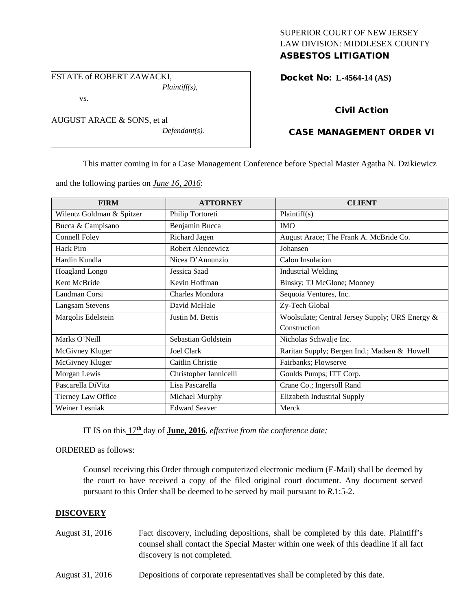## SUPERIOR COURT OF NEW JERSEY LAW DIVISION: MIDDLESEX COUNTY ASBESTOS LITIGATION

ESTATE of ROBERT ZAWACKI,

vs.

AUGUST ARACE & SONS, et al

*Defendant(s).*

*Plaintiff(s),*

## Docket No: **L-4564-14 (AS)**

# Civil Action

# CASE MANAGEMENT ORDER VI

This matter coming in for a Case Management Conference before Special Master Agatha N. Dzikiewicz

and the following parties on *June 16, 2016*:

| <b>FIRM</b>               | <b>ATTORNEY</b>        | <b>CLIENT</b>                                   |
|---------------------------|------------------------|-------------------------------------------------|
| Wilentz Goldman & Spitzer | Philip Tortoreti       | Plaintiff(s)                                    |
| Bucca & Campisano         | Benjamin Bucca         | <b>IMO</b>                                      |
| Connell Foley             | Richard Jagen          | August Arace; The Frank A. McBride Co.          |
| Hack Piro                 | Robert Alencewicz      | Johansen                                        |
| Hardin Kundla             | Nicea D'Annunzio       | Calon Insulation                                |
| Hoagland Longo            | Jessica Saad           | <b>Industrial Welding</b>                       |
| Kent McBride              | Kevin Hoffman          | Binsky; TJ McGlone; Mooney                      |
| Landman Corsi             | Charles Mondora        | Sequoia Ventures, Inc.                          |
| <b>Langsam Stevens</b>    | David McHale           | Zy-Tech Global                                  |
| Margolis Edelstein        | Justin M. Bettis       | Woolsulate; Central Jersey Supply; URS Energy & |
|                           |                        | Construction                                    |
| Marks O'Neill             | Sebastian Goldstein    | Nicholas Schwalje Inc.                          |
| McGivney Kluger           | <b>Joel Clark</b>      | Raritan Supply; Bergen Ind.; Madsen & Howell    |
| McGivney Kluger           | Caitlin Christie       | Fairbanks; Flowserve                            |
| Morgan Lewis              | Christopher Iannicelli | Goulds Pumps; ITT Corp.                         |
| Pascarella DiVita         | Lisa Pascarella        | Crane Co.; Ingersoll Rand                       |
| Tierney Law Office        | Michael Murphy         | Elizabeth Industrial Supply                     |
| Weiner Lesniak            | <b>Edward Seaver</b>   | Merck                                           |

IT IS on this 17**th** day of **June, 2016**, *effective from the conference date;*

ORDERED as follows:

Counsel receiving this Order through computerized electronic medium (E-Mail) shall be deemed by the court to have received a copy of the filed original court document. Any document served pursuant to this Order shall be deemed to be served by mail pursuant to *R*.1:5-2.

## **DISCOVERY**

- August 31, 2016 Fact discovery, including depositions, shall be completed by this date. Plaintiff's counsel shall contact the Special Master within one week of this deadline if all fact discovery is not completed.
- August 31, 2016 Depositions of corporate representatives shall be completed by this date.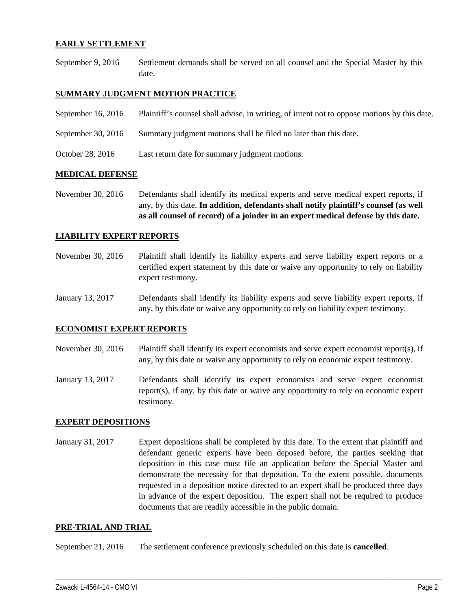### **EARLY SETTLEMENT**

September 9, 2016 Settlement demands shall be served on all counsel and the Special Master by this date.

### **SUMMARY JUDGMENT MOTION PRACTICE**

September 16, 2016 Plaintiff's counsel shall advise, in writing, of intent not to oppose motions by this date. September 30, 2016 Summary judgment motions shall be filed no later than this date. October 28, 2016 Last return date for summary judgment motions.

#### **MEDICAL DEFENSE**

November 30, 2016 Defendants shall identify its medical experts and serve medical expert reports, if any, by this date. **In addition, defendants shall notify plaintiff's counsel (as well as all counsel of record) of a joinder in an expert medical defense by this date.**

#### **LIABILITY EXPERT REPORTS**

- November 30, 2016 Plaintiff shall identify its liability experts and serve liability expert reports or a certified expert statement by this date or waive any opportunity to rely on liability expert testimony.
- January 13, 2017 Defendants shall identify its liability experts and serve liability expert reports, if any, by this date or waive any opportunity to rely on liability expert testimony.

#### **ECONOMIST EXPERT REPORTS**

- November 30, 2016 Plaintiff shall identify its expert economists and serve expert economist report(s), if any, by this date or waive any opportunity to rely on economic expert testimony.
- January 13, 2017 Defendants shall identify its expert economists and serve expert economist report(s), if any, by this date or waive any opportunity to rely on economic expert testimony.

#### **EXPERT DEPOSITIONS**

January 31, 2017 Expert depositions shall be completed by this date. To the extent that plaintiff and defendant generic experts have been deposed before, the parties seeking that deposition in this case must file an application before the Special Master and demonstrate the necessity for that deposition. To the extent possible, documents requested in a deposition notice directed to an expert shall be produced three days in advance of the expert deposition. The expert shall not be required to produce documents that are readily accessible in the public domain.

\_\_\_\_\_\_\_\_\_\_\_\_\_\_\_\_\_\_\_\_\_\_\_\_\_\_\_\_\_\_\_\_\_\_\_\_\_\_\_\_\_\_\_\_\_\_\_\_\_\_\_\_\_\_\_\_\_\_\_\_\_\_\_\_\_\_\_\_\_\_\_\_\_\_\_\_\_\_\_\_\_\_\_\_\_\_\_\_\_\_\_\_\_\_\_\_\_\_\_\_\_\_\_\_\_\_\_\_\_\_

#### **PRE-TRIAL AND TRIAL**

September 21, 2016 The settlement conference previously scheduled on this date is **cancelled**.